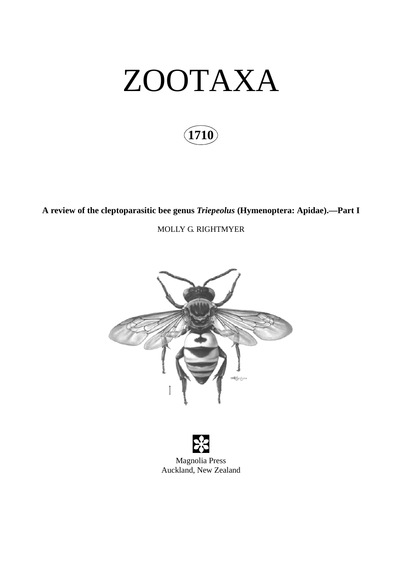# ZOOTAXA

# **1710**

**A review of the cleptoparasitic bee genus** *Triepeolus* **(Hymenoptera: Apidae).—Part I**

MOLLY G. RIGHTMYER

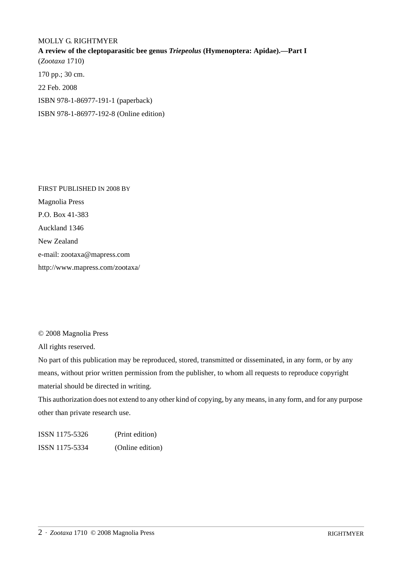#### MOLLY G. RIGHTMYER

**A review of the cleptoparasitic bee genus** *Triepeolus* **(Hymenoptera: Apidae).—Part I** (*Zootaxa* 1710) 170 pp.; 30 cm. 22 Feb. 2008 ISBN 978-1-86977-191-1 (paperback) ISBN 978-1-86977-192-8 (Online edition)

FIRST PUBLISHED IN 2008 BY Magnolia Press P.O. Box 41-383 Auckland 1346 New Zealand e-mail: zootaxa@mapress.com http://www.mapress.com/zootaxa/

© 2008 Magnolia Press

All rights reserved.

No part of this publication may be reproduced, stored, transmitted or disseminated, in any form, or by any means, without prior written permission from the publisher, to whom all requests to reproduce copyright material should be directed in writing.

This authorization does not extend to any other kind of copying, by any means, in any form, and for any purpose other than private research use.

ISSN 1175-5326 (Print edition) ISSN 1175-5334 (Online edition)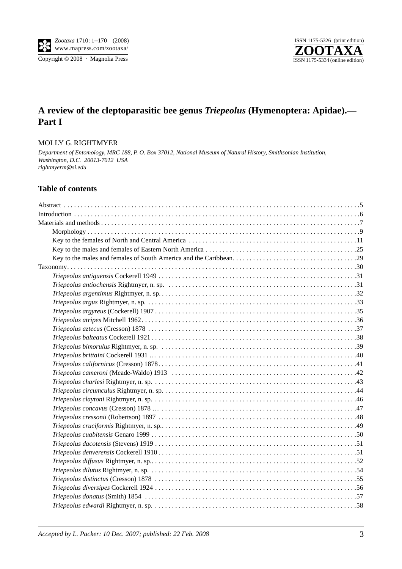Copyright © 2008 · Magnolia Press



# **A review of the cleptoparasitic bee genus** *Triepeolus* **(Hymenoptera: Apidae).— Part I**

#### MOLLY G. RIGHTMYER

*Department of Entomology, MRC 188, P. O. Box 37012, National Museum of Natural History, Smithsonian Institution, Washington, D.C. 20013-7012 USA rightmyerm@si.edu*

### **Table of contents**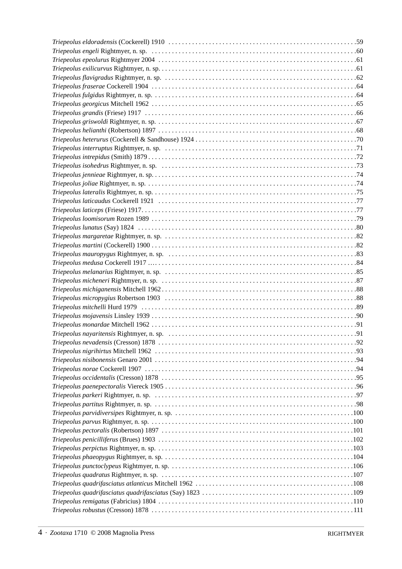| Triepeolus melanarius Rightmyer, n. sp. (a) material content content of the set of the set of the set of the s |  |
|----------------------------------------------------------------------------------------------------------------|--|
|                                                                                                                |  |
|                                                                                                                |  |
|                                                                                                                |  |
|                                                                                                                |  |
|                                                                                                                |  |
|                                                                                                                |  |
|                                                                                                                |  |
|                                                                                                                |  |
|                                                                                                                |  |
|                                                                                                                |  |
|                                                                                                                |  |
|                                                                                                                |  |
|                                                                                                                |  |
|                                                                                                                |  |
|                                                                                                                |  |
|                                                                                                                |  |
|                                                                                                                |  |
|                                                                                                                |  |
|                                                                                                                |  |
|                                                                                                                |  |
|                                                                                                                |  |
|                                                                                                                |  |
|                                                                                                                |  |
|                                                                                                                |  |
|                                                                                                                |  |
|                                                                                                                |  |
|                                                                                                                |  |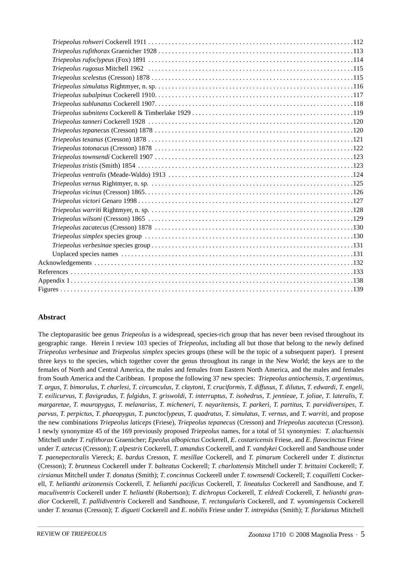## **Abstract**

The cleptoparasitic bee genus *Triepeolus* is a widespread, species-rich group that has never been revised throughout its geographic range. Herein I review 103 species of *Triepeolus*, including all but those that belong to the newly defined *Triepeolus verbesinae* and *Triepeolus simplex* species groups (these will be the topic of a subsequent paper). I present three keys to the species, which together cover the genus throughout its range in the New World; the keys are to the females of North and Central America, the males and females from Eastern North America, and the males and females from South America and the Caribbean. I propose the following 37 new species: *Triepeolus antiochensis*, *T*. *argentimus*, T. argus, T. bimorulus, T. charlesi, T. circumculus, T. claytoni, T. cruciformis, T. diffusus, T. dilutus, T. edwardi, T. engeli, T. exilicurvus, T. flavigradus, T. fulgidus, T. griswoldi, T. interruptus, T. isohedrus, T. jennieae, T. joliae, T. lateralis, T. margaretae, T. mauropygus, T. melanarius, T. micheneri, T. nayaritensis, T. parkeri, T. partitus, T. parvidiversipes, T. parvus, T. perpictus, T. phaeopygus, T. punctoclypeus, T. quadratus, T. simulatus, T. vernus, and T. warriti, and propose the new combinations *Triepeolus laticeps* (Friese), *Triepeolus tepanecus* (Cresson) and *Triepeolus zacatecus* (Cresson). I newly synonymize 45 of the 169 previously proposed *Triepeolus* names, for a total of 51 synonymies: *T*. *alachuensis* Mitchell under *T*. *rufithorax* Graenicher; *Epeolus albopictus* Cockerell, *E*. *costaricensis* Friese, and *E*. *flavocinctus* Friese under *T*. *aztecus* (Cresson); *T*. *alpestris* Cockerell, *T*. *amandus* Cockerell, and *T*. *vandykei* Cockerell and Sandhouse under *T*. *paenepectoralis* Viereck; *E*. *bardus* Cresson, *T*. *mesillae* Cockerell, and *T*. *pimarum* Cockerell under *T*. *distinctus* (Cresson); *T*. *brunneus* Cockerell under *T*. *balteatus* Cockerell; *T*. *charlottensis* Mitchell under *T*. *brittaini* Cockerell; *T*. *cirsianus* Mitchell under *T*. *donatus* (Smith); *T*. *concinnus* Cockerell under *T*. *townsendi* Cockerell; *T*. *coquilletti* Cockerell, *T*. *helianthi arizonensis* Cockerell, *T*. *helianthi pacificus* Cockerell, *T*. *lineatulus* Cockerell and Sandhouse, and *T*. *maculiventris* Cockerell under *T*. *helianthi* (Robertson); *T*. *dichropus* Cockerell, *T*. *eldredi* Cockerell, *T*. *helianthi grandior* Cockerell, *T*. *pallidiventris* Cockerell and Sandhouse, *T*. *rectangularis* Cockerell, and *T*. *wyomingensis* Cockerell under *T*. *texanus* (Cresson); *T*. *digueti* Cockerell and *E*. *nobilis* Friese under *T*. *intrepidus* (Smith); *T*. *floridanus* Mitchell